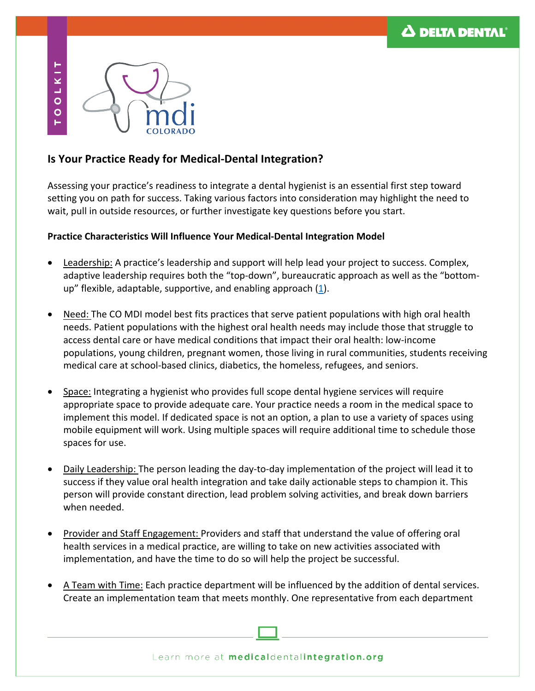

## **Is Your Practice Ready for Medical-Dental Integration?**

Assessing your practice's readiness to integrate a dental hygienist is an essential first step toward setting you on path for success. Taking various factors into consideration may highlight the need to wait, pull in outside resources, or further investigate key questions before you start.

## **Practice Characteristics Will Influence Your Medical-Dental Integration Model**

- Leadership: A practice's leadership and support will help lead your project to success. Complex, adaptive leadership requires both the "top-down", bureaucratic approach as well as the "bottomup" flexible, adaptable, supportive, and enabling approach  $(1)$ .
- Need: The CO MDI model best fits practices that serve patient populations with high oral health needs. Patient populations with the highest oral health needs may include those that struggle to access dental care or have medical conditions that impact their oral health: low-income populations, young children, pregnant women, those living in rural communities, students receiving medical care at school-based clinics, diabetics, the homeless, refugees, and seniors.
- Space: Integrating a hygienist who provides full scope dental hygiene services will require appropriate space to provide adequate care. Your practice needs a room in the medical space to implement this model. If dedicated space is not an option, a plan to use a variety of spaces using mobile equipment will work. Using multiple spaces will require additional time to schedule those spaces for use.
- Daily Leadership: The person leading the day-to-day implementation of the project will lead it to success if they value oral health integration and take daily actionable steps to champion it. This person will provide constant direction, lead problem solving activities, and break down barriers when needed.
- Provider and Staff Engagement: Providers and staff that understand the value of offering oral health services in a medical practice, are willing to take on new activities associated with implementation, and have the time to do so will help the project be successful.
- A Team with Time: Each practice department will be influenced by the addition of dental services. Create an implementation team that meets monthly. One representative from each department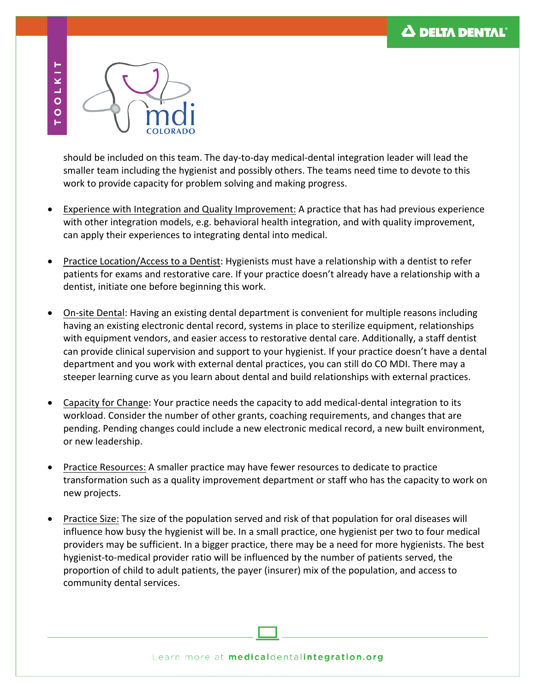

should be included on this team. The day-to-day medical-dental integration leader will lead the smaller team including the hygienist and possibly others. The teams need time to devote to this work to provide capacity for problem solving and making progress.

- Experience with Integration and Quality Improvement: A practice that has had previous experience with other integration models, e.g. behavioral health integration, and with quality improvement, can apply their experiences to integrating dental into medical.
- Practice Location/Access to a Dentist: Hygienists must have a relationship with a dentist to refer patients for exams and restorative care. If your practice doesn't already have a relationship with a dentist, initiate one before beginning this work.
- On-site Dental: Having an existing dental department is convenient for multiple reasons including having an existing electronic dental record, systems in place to sterilize equipment, relationships with equipment vendors, and easier access to restorative dental care. Additionally, a staff dentist can provide clinical supervision and support to your hygienist. If your practice doesn't have a dental department and you work with external dental practices, you can still do CO MDI. There may a steeper learning curve as you learn about dental and build relationships with external practices.
- Capacity for Change: Your practice needs the capacity to add medical-dental integration to its workload. Consider the number of other grants, coaching requirements, and changes that are pending. Pending changes could include a new electronic medical record, a new built environment, or new leadership.
- Practice Resources: A smaller practice may have fewer resources to dedicate to practice transformation such as a quality improvement department or staff who has the capacity to work on new projects.
- Practice Size: The size of the population served and risk of that population for oral diseases will influence how busy the hygienist will be. In a small practice, one hygienist per two to four medical providers may be sufficient. In a bigger practice, there may be a need for more hygienists. The best hygienist-to-medical provider ratio will be influenced by the number of patients served, the proportion of child to adult patients, the payer (insurer) mix of the population, and access to community dental services.